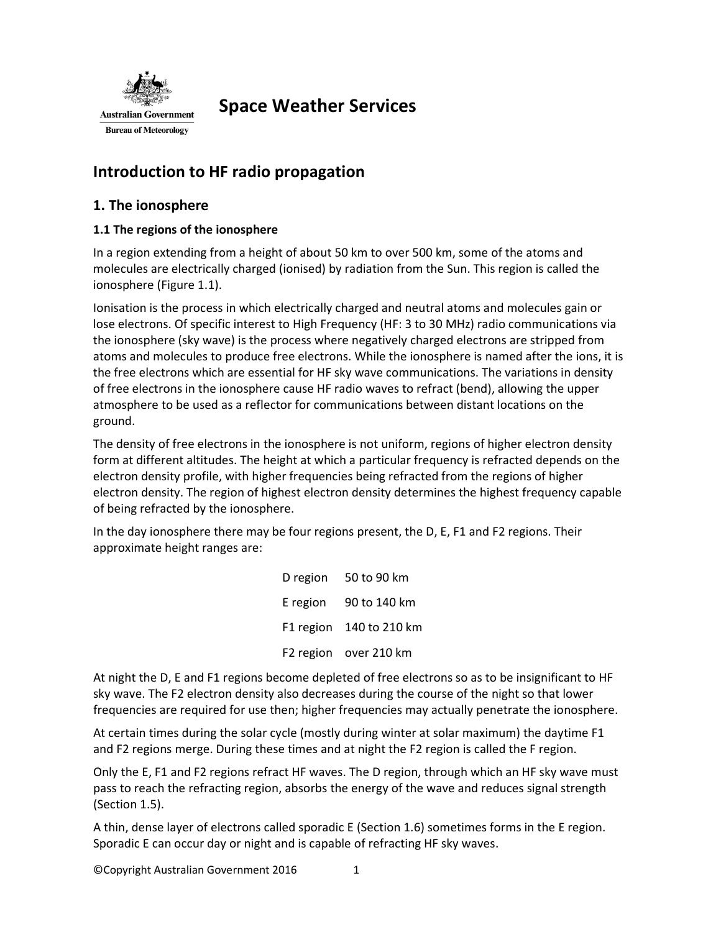

# **Space Weather Services**

# **Introduction to HF radio propagation**

# **1. The ionosphere**

# **1.1 The regions of the ionosphere**

In a region extending from a height of about 50 km to over 500 km, some of the atoms and molecules are electrically charged (ionised) by radiation from the Sun. This region is called the ionosphere (Figure 1.1).

Ionisation is the process in which electrically charged and neutral atoms and molecules gain or lose electrons. Of specific interest to High Frequency (HF: 3 to 30 MHz) radio communications via the ionosphere (sky wave) is the process where negatively charged electrons are stripped from atoms and molecules to produce free electrons. While the ionosphere is named after the ions, it is the free electrons which are essential for HF sky wave communications. The variations in density of free electrons in the ionosphere cause HF radio waves to refract (bend), allowing the upper atmosphere to be used as a reflector for communications between distant locations on the ground.

The density of free electrons in the ionosphere is not uniform, regions of higher electron density form at different altitudes. The height at which a particular frequency is refracted depends on the electron density profile, with higher frequencies being refracted from the regions of higher electron density. The region of highest electron density determines the highest frequency capable of being refracted by the ionosphere.

In the day ionosphere there may be four regions present, the D, E, F1 and F2 regions. Their approximate height ranges are:

> D region 50 to 90 km E region 90 to 140 km F1 region 140 to 210 km F2 region over 210 km

At night the D, E and F1 regions become depleted of free electrons so as to be insignificant to HF sky wave. The F2 electron density also decreases during the course of the night so that lower frequencies are required for use then; higher frequencies may actually penetrate the ionosphere.

At certain times during the solar cycle (mostly during winter at solar maximum) the daytime F1 and F2 regions merge. During these times and at night the F2 region is called the F region.

Only the E, F1 and F2 regions refract HF waves. The D region, through which an HF sky wave must pass to reach the refracting region, absorbs the energy of the wave and reduces signal strength (Section 1.5).

A thin, dense layer of electrons called sporadic E (Section 1.6) sometimes forms in the E region. Sporadic E can occur day or night and is capable of refracting HF sky waves.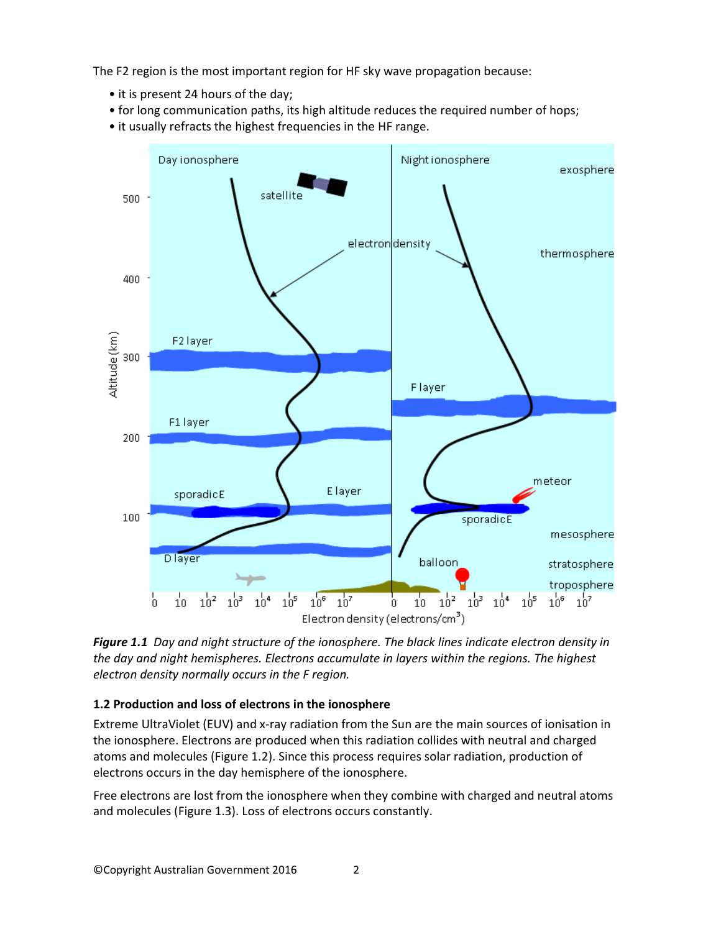The F2 region is the most important region for HF sky wave propagation because:

- it is present 24 hours of the day;
- for long communication paths, its high altitude reduces the required number of hops;
- it usually refracts the highest frequencies in the HF range.



*Figure 1.1 Day and night structure of the ionosphere. The black lines indicate electron density in the day and night hemispheres. Electrons accumulate in layers within the regions. The highest electron density normally occurs in the F region.*

# **1.2 Production and loss of electrons in the ionosphere**

Extreme UltraViolet (EUV) and x-ray radiation from the Sun are the main sources of ionisation in the ionosphere. Electrons are produced when this radiation collides with neutral and charged atoms and molecules (Figure 1.2). Since this process requires solar radiation, production of electrons occurs in the day hemisphere of the ionosphere.

Free electrons are lost from the ionosphere when they combine with charged and neutral atoms and molecules (Figure 1.3). Loss of electrons occurs constantly.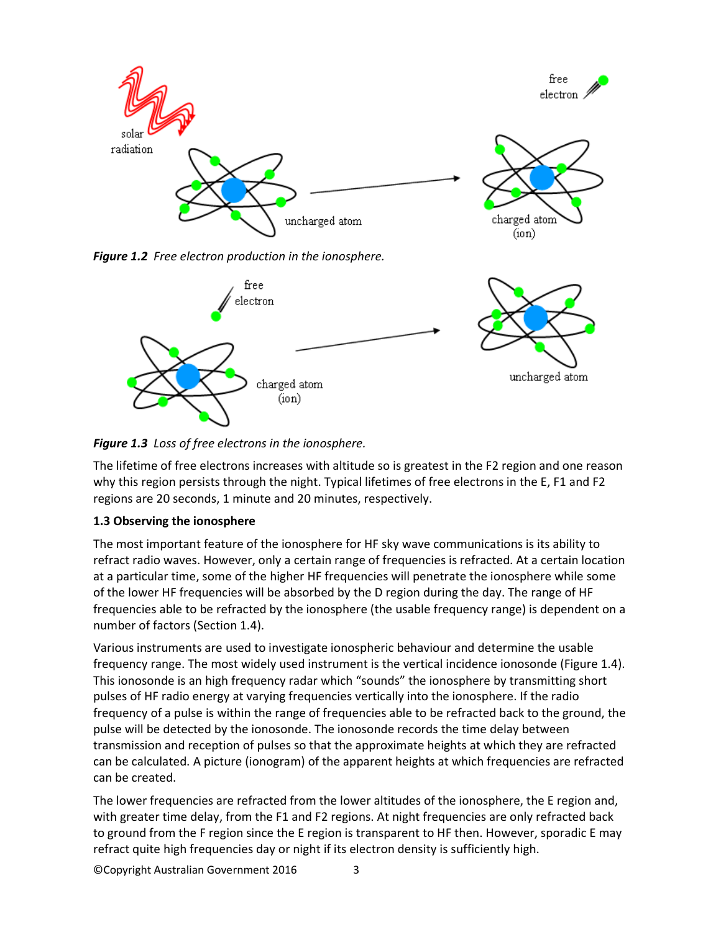

*Figure 1.2 Free electron production in the ionosphere.*



*Figure 1.3 Loss of free electrons in the ionosphere.* 

The lifetime of free electrons increases with altitude so is greatest in the F2 region and one reason why this region persists through the night. Typical lifetimes of free electrons in the E, F1 and F2 regions are 20 seconds, 1 minute and 20 minutes, respectively.

# **1.3 Observing the ionosphere**

The most important feature of the ionosphere for HF sky wave communications is its ability to refract radio waves. However, only a certain range of frequencies is refracted. At a certain location at a particular time, some of the higher HF frequencies will penetrate the ionosphere while some of the lower HF frequencies will be absorbed by the D region during the day. The range of HF frequencies able to be refracted by the ionosphere (the usable frequency range) is dependent on a number of factors (Section 1.4).

Various instruments are used to investigate ionospheric behaviour and determine the usable frequency range. The most widely used instrument is the vertical incidence ionosonde (Figure 1.4). This ionosonde is an high frequency radar which "sounds" the ionosphere by transmitting short pulses of HF radio energy at varying frequencies vertically into the ionosphere. If the radio frequency of a pulse is within the range of frequencies able to be refracted back to the ground, the pulse will be detected by the ionosonde. The ionosonde records the time delay between transmission and reception of pulses so that the approximate heights at which they are refracted can be calculated. A picture (ionogram) of the apparent heights at which frequencies are refracted can be created.

The lower frequencies are refracted from the lower altitudes of the ionosphere, the E region and, with greater time delay, from the F1 and F2 regions. At night frequencies are only refracted back to ground from the F region since the E region is transparent to HF then. However, sporadic E may refract quite high frequencies day or night if its electron density is sufficiently high.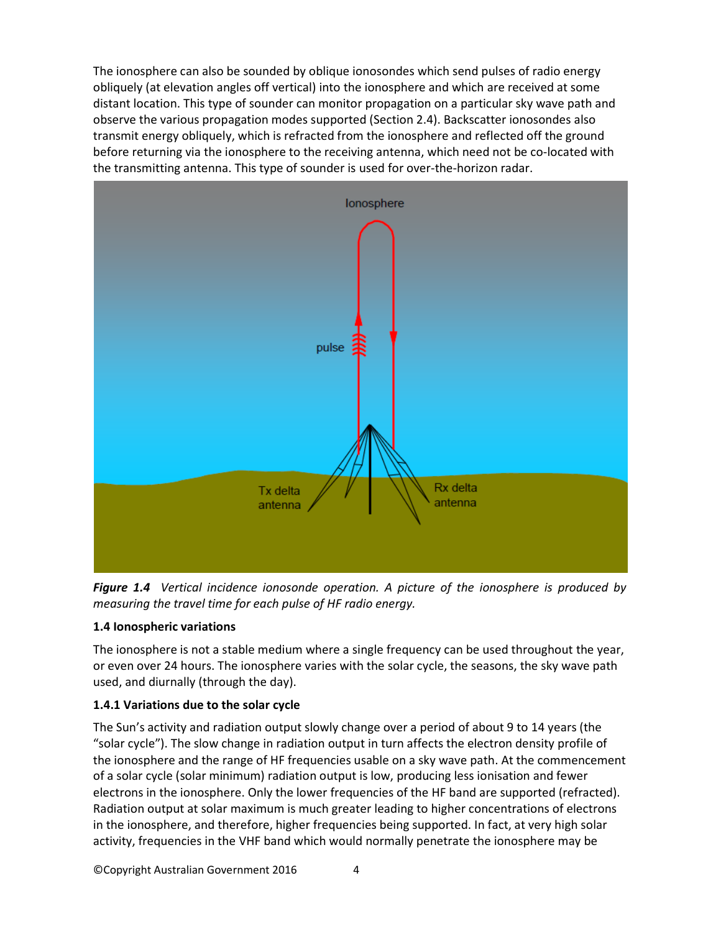The ionosphere can also be sounded by oblique ionosondes which send pulses of radio energy obliquely (at elevation angles off vertical) into the ionosphere and which are received at some distant location. This type of sounder can monitor propagation on a particular sky wave path and observe the various propagation modes supported (Section 2.4). Backscatter ionosondes also transmit energy obliquely, which is refracted from the ionosphere and reflected off the ground before returning via the ionosphere to the receiving antenna, which need not be co-located with the transmitting antenna. This type of sounder is used for over-the-horizon radar.



*Figure 1.4 Vertical incidence ionosonde operation. A picture of the ionosphere is produced by measuring the travel time for each pulse of HF radio energy.*

# **1.4 Ionospheric variations**

The ionosphere is not a stable medium where a single frequency can be used throughout the year, or even over 24 hours. The ionosphere varies with the solar cycle, the seasons, the sky wave path used, and diurnally (through the day).

# **1.4.1 Variations due to the solar cycle**

The Sun's activity and radiation output slowly change over a period of about 9 to 14 years (the "solar cycle"). The slow change in radiation output in turn affects the electron density profile of the ionosphere and the range of HF frequencies usable on a sky wave path. At the commencement of a solar cycle (solar minimum) radiation output is low, producing less ionisation and fewer electrons in the ionosphere. Only the lower frequencies of the HF band are supported (refracted). Radiation output at solar maximum is much greater leading to higher concentrations of electrons in the ionosphere, and therefore, higher frequencies being supported. In fact, at very high solar activity, frequencies in the VHF band which would normally penetrate the ionosphere may be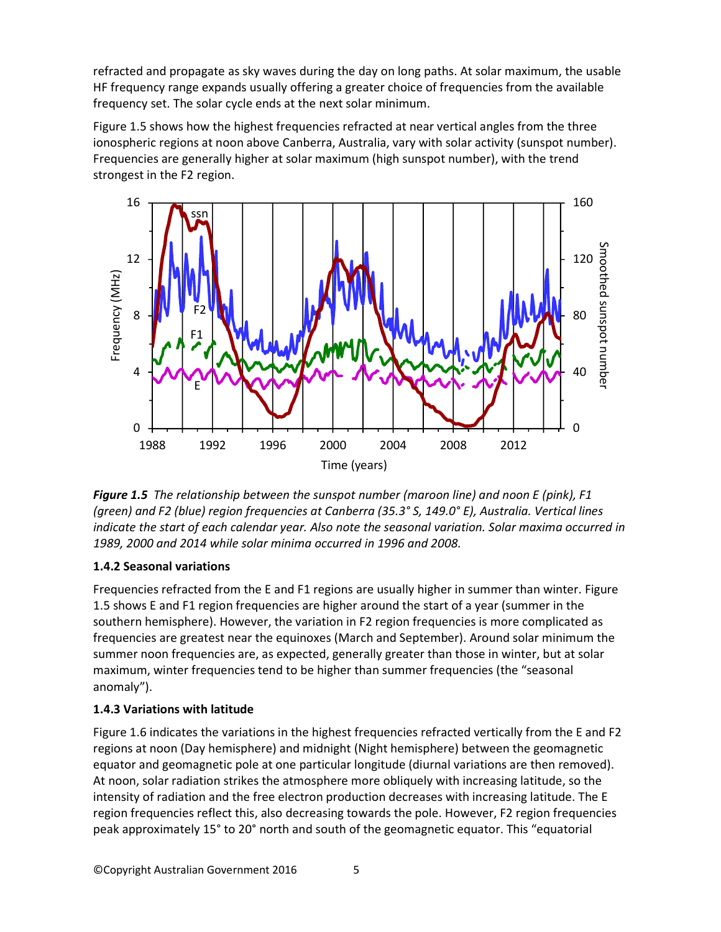refracted and propagate as sky waves during the day on long paths. At solar maximum, the usable HF frequency range expands usually offering a greater choice of frequencies from the available frequency set. The solar cycle ends at the next solar minimum.

Figure 1.5 shows how the highest frequencies refracted at near vertical angles from the three ionospheric regions at noon above Canberra, Australia, vary with solar activity (sunspot number). Frequencies are generally higher at solar maximum (high sunspot number), with the trend strongest in the F2 region.



*Figure 1.5 The relationship between the sunspot number (maroon line) and noon E (pink), F1 (green) and F2 (blue) region frequencies at Canberra (35.3° S, 149.0° E), Australia. Vertical lines indicate the start of each calendar year. Also note the seasonal variation. Solar maxima occurred in 1989, 2000 and 2014 while solar minima occurred in 1996 and 2008.*

# **1.4.2 Seasonal variations**

Frequencies refracted from the E and F1 regions are usually higher in summer than winter. Figure 1.5 shows E and F1 region frequencies are higher around the start of a year (summer in the southern hemisphere). However, the variation in F2 region frequencies is more complicated as frequencies are greatest near the equinoxes (March and September). Around solar minimum the summer noon frequencies are, as expected, generally greater than those in winter, but at solar maximum, winter frequencies tend to be higher than summer frequencies (the "seasonal anomaly").

# **1.4.3 Variations with latitude**

Figure 1.6 indicates the variations in the highest frequencies refracted vertically from the E and F2 regions at noon (Day hemisphere) and midnight (Night hemisphere) between the geomagnetic equator and geomagnetic pole at one particular longitude (diurnal variations are then removed). At noon, solar radiation strikes the atmosphere more obliquely with increasing latitude, so the intensity of radiation and the free electron production decreases with increasing latitude. The E region frequencies reflect this, also decreasing towards the pole. However, F2 region frequencies peak approximately 15° to 20° north and south of the geomagnetic equator. This "equatorial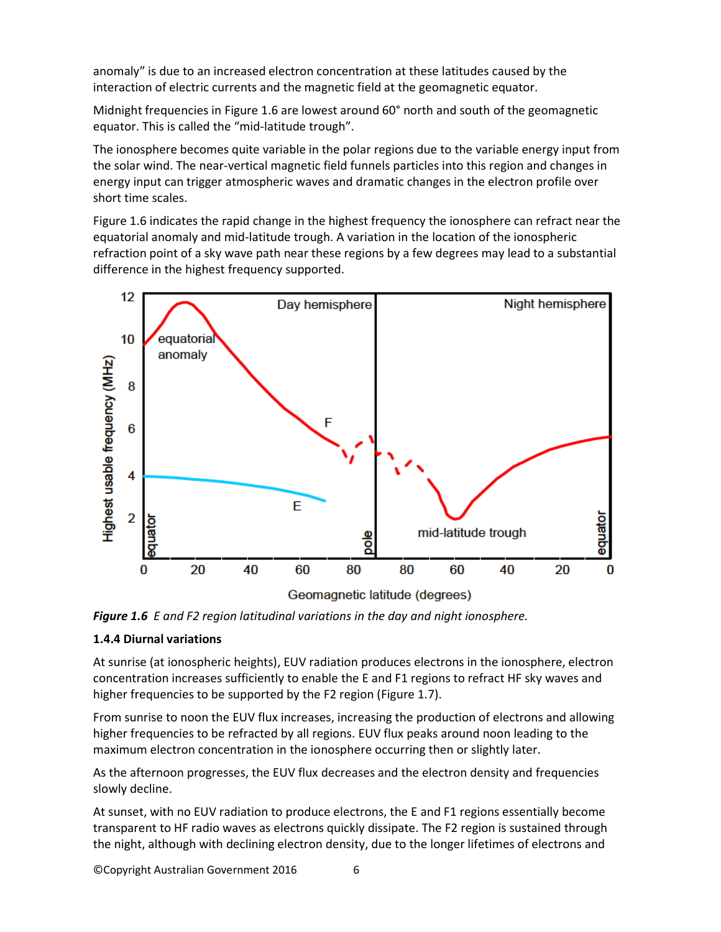anomaly" is due to an increased electron concentration at these latitudes caused by the interaction of electric currents and the magnetic field at the geomagnetic equator.

Midnight frequencies in Figure 1.6 are lowest around 60° north and south of the geomagnetic equator. This is called the "mid-latitude trough".

The ionosphere becomes quite variable in the polar regions due to the variable energy input from the solar wind. The near-vertical magnetic field funnels particles into this region and changes in energy input can trigger atmospheric waves and dramatic changes in the electron profile over short time scales.

Figure 1.6 indicates the rapid change in the highest frequency the ionosphere can refract near the equatorial anomaly and mid-latitude trough. A variation in the location of the ionospheric refraction point of a sky wave path near these regions by a few degrees may lead to a substantial difference in the highest frequency supported.

![](_page_5_Figure_4.jpeg)

*Figure 1.6 E and F2 region latitudinal variations in the day and night ionosphere.*

# **1.4.4 Diurnal variations**

At sunrise (at ionospheric heights), EUV radiation produces electrons in the ionosphere, electron concentration increases sufficiently to enable the E and F1 regions to refract HF sky waves and higher frequencies to be supported by the F2 region (Figure 1.7).

From sunrise to noon the EUV flux increases, increasing the production of electrons and allowing higher frequencies to be refracted by all regions. EUV flux peaks around noon leading to the maximum electron concentration in the ionosphere occurring then or slightly later.

As the afternoon progresses, the EUV flux decreases and the electron density and frequencies slowly decline.

At sunset, with no EUV radiation to produce electrons, the E and F1 regions essentially become transparent to HF radio waves as electrons quickly dissipate. The F2 region is sustained through the night, although with declining electron density, due to the longer lifetimes of electrons and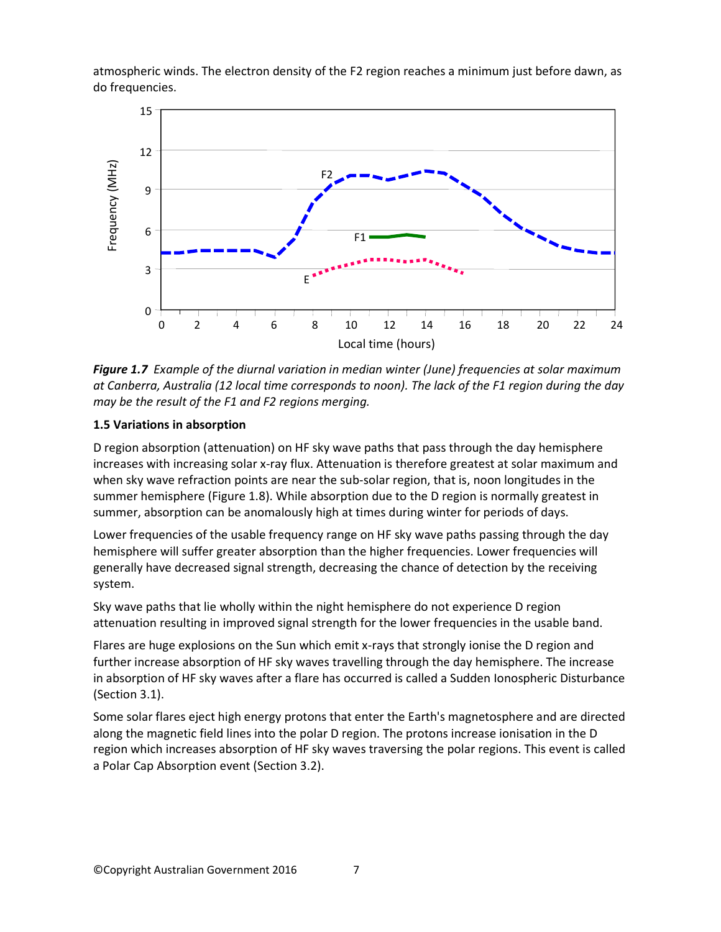atmospheric winds. The electron density of the F2 region reaches a minimum just before dawn, as do frequencies.

![](_page_6_Figure_1.jpeg)

*Figure 1.7 Example of the diurnal variation in median winter (June) frequencies at solar maximum at Canberra, Australia (12 local time corresponds to noon). The lack of the F1 region during the day may be the result of the F1 and F2 regions merging.*

# **1.5 Variations in absorption**

D region absorption (attenuation) on HF sky wave paths that pass through the day hemisphere increases with increasing solar x-ray flux. Attenuation is therefore greatest at solar maximum and when sky wave refraction points are near the sub-solar region, that is, noon longitudes in the summer hemisphere (Figure 1.8). While absorption due to the D region is normally greatest in summer, absorption can be anomalously high at times during winter for periods of days.

Lower frequencies of the usable frequency range on HF sky wave paths passing through the day hemisphere will suffer greater absorption than the higher frequencies. Lower frequencies will generally have decreased signal strength, decreasing the chance of detection by the receiving system.

Sky wave paths that lie wholly within the night hemisphere do not experience D region attenuation resulting in improved signal strength for the lower frequencies in the usable band.

Flares are huge explosions on the Sun which emit x-rays that strongly ionise the D region and further increase absorption of HF sky waves travelling through the day hemisphere. The increase in absorption of HF sky waves after a flare has occurred is called a Sudden Ionospheric Disturbance (Section 3.1).

Some solar flares eject high energy protons that enter the Earth's magnetosphere and are directed along the magnetic field lines into the polar D region. The protons increase ionisation in the D region which increases absorption of HF sky waves traversing the polar regions. This event is called a Polar Cap Absorption event (Section 3.2).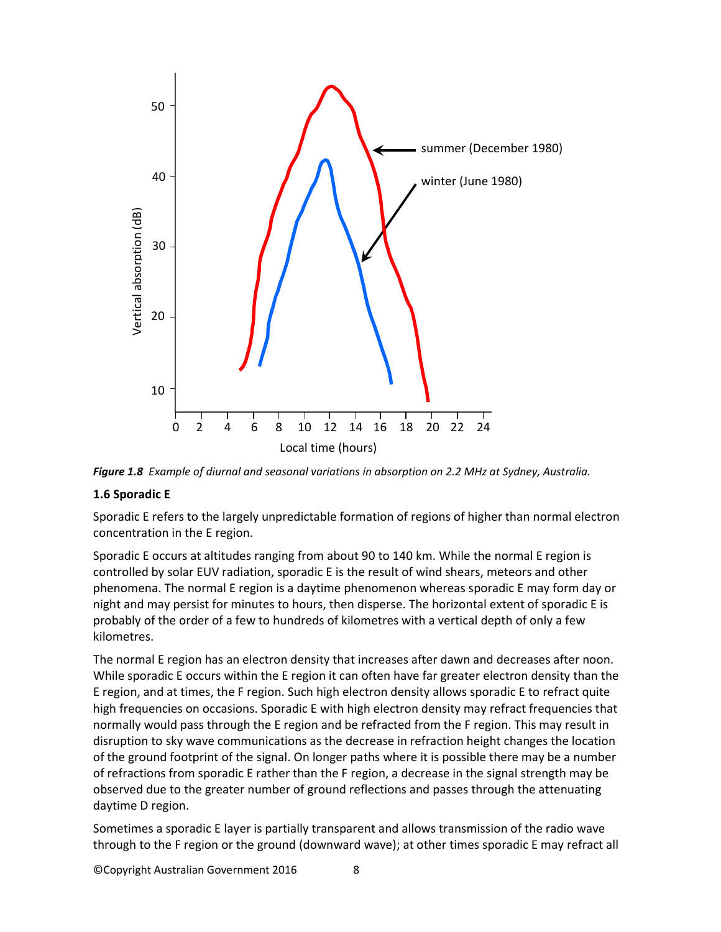![](_page_7_Figure_0.jpeg)

*Figure 1.8 Example of diurnal and seasonal variations in absorption on 2.2 MHz at Sydney, Australia.*

#### **1.6 Sporadic E**

Sporadic E refers to the largely unpredictable formation of regions of higher than normal electron concentration in the E region.

Sporadic E occurs at altitudes ranging from about 90 to 140 km. While the normal E region is controlled by solar EUV radiation, sporadic E is the result of wind shears, meteors and other phenomena. The normal E region is a daytime phenomenon whereas sporadic E may form day or night and may persist for minutes to hours, then disperse. The horizontal extent of sporadic E is probably of the order of a few to hundreds of kilometres with a vertical depth of only a few kilometres.

The normal E region has an electron density that increases after dawn and decreases after noon. While sporadic E occurs within the E region it can often have far greater electron density than the E region, and at times, the F region. Such high electron density allows sporadic E to refract quite high frequencies on occasions. Sporadic E with high electron density may refract frequencies that normally would pass through the E region and be refracted from the F region. This may result in disruption to sky wave communications as the decrease in refraction height changes the location of the ground footprint of the signal. On longer paths where it is possible there may be a number of refractions from sporadic E rather than the F region, a decrease in the signal strength may be observed due to the greater number of ground reflections and passes through the attenuating daytime D region.

Sometimes a sporadic E layer is partially transparent and allows transmission of the radio wave through to the F region or the ground (downward wave); at other times sporadic E may refract all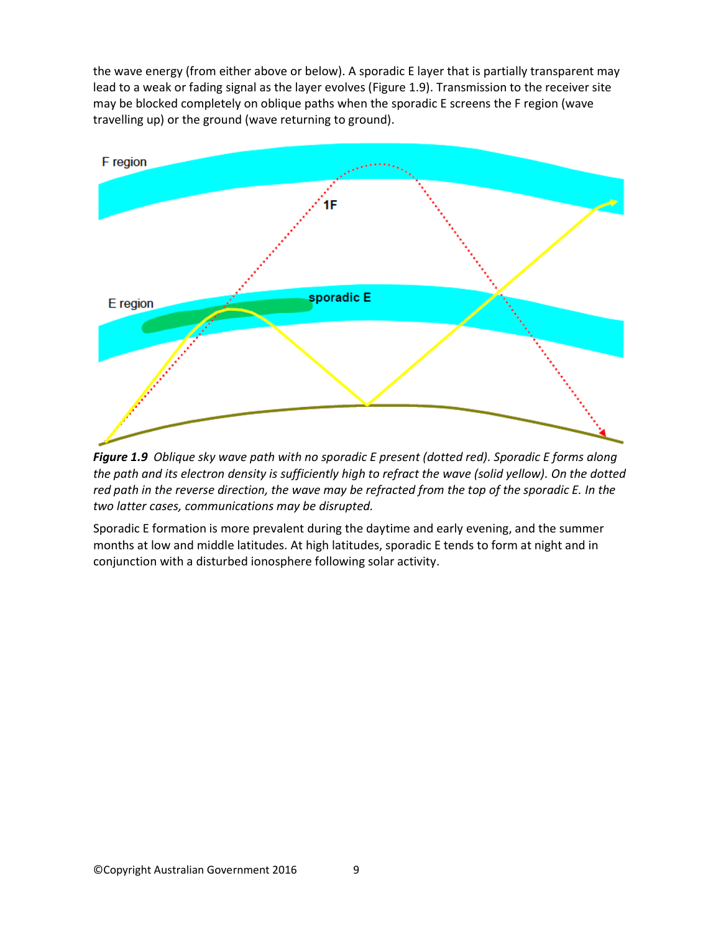the wave energy (from either above or below). A sporadic E layer that is partially transparent may lead to a weak or fading signal as the layer evolves (Figure 1.9). Transmission to the receiver site may be blocked completely on oblique paths when the sporadic E screens the F region (wave travelling up) or the ground (wave returning to ground).

![](_page_8_Figure_1.jpeg)

*Figure 1.9 Oblique sky wave path with no sporadic E present (dotted red). Sporadic E forms along the path and its electron density is sufficiently high to refract the wave (solid yellow). On the dotted red path in the reverse direction, the wave may be refracted from the top of the sporadic E. In the two latter cases, communications may be disrupted.*

Sporadic E formation is more prevalent during the daytime and early evening, and the summer months at low and middle latitudes. At high latitudes, sporadic E tends to form at night and in conjunction with a disturbed ionosphere following solar activity.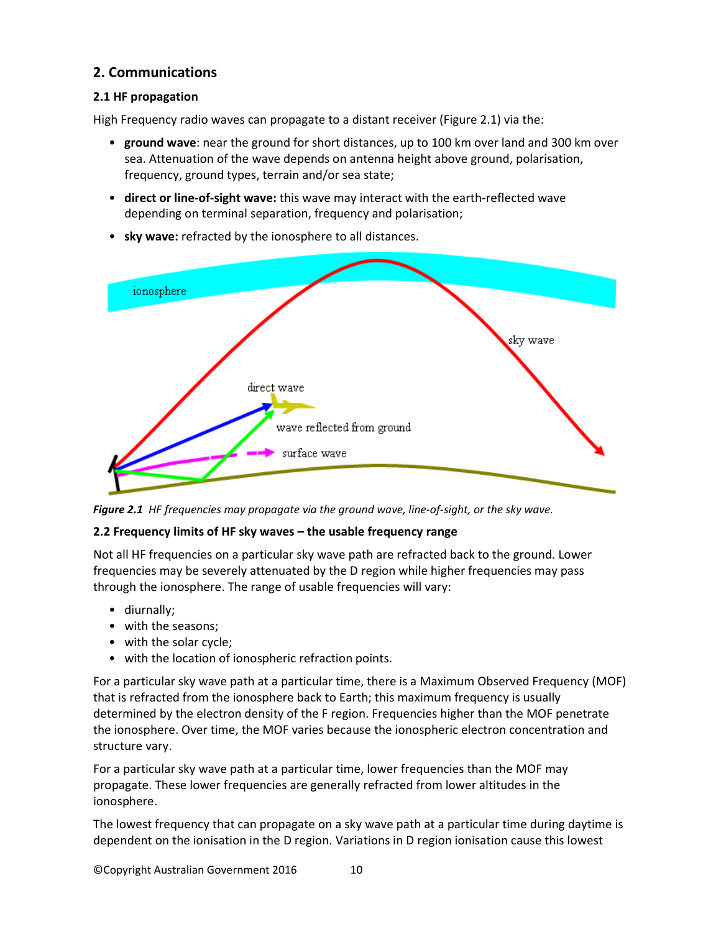# **2. Communications**

# **2.1 HF propagation**

High Frequency radio waves can propagate to a distant receiver (Figure 2.1) via the:

- **ground wave**: near the ground for short distances, up to 100 km over land and 300 km over sea. Attenuation of the wave depends on antenna height above ground, polarisation, frequency, ground types, terrain and/or sea state;
- **direct or line-of-sight wave:** this wave may interact with the earth-reflected wave depending on terminal separation, frequency and polarisation;

![](_page_9_Figure_5.jpeg)

• **sky wave:** refracted by the ionosphere to all distances.

*Figure 2.1 HF frequencies may propagate via the ground wave, line-of-sight, or the sky wave.*

# **2.2 Frequency limits of HF sky waves – the usable frequency range**

Not all HF frequencies on a particular sky wave path are refracted back to the ground. Lower frequencies may be severely attenuated by the D region while higher frequencies may pass through the ionosphere. The range of usable frequencies will vary:

- diurnally;
- with the seasons;
- with the solar cycle:
- with the location of ionospheric refraction points.

For a particular sky wave path at a particular time, there is a Maximum Observed Frequency (MOF) that is refracted from the ionosphere back to Earth; this maximum frequency is usually determined by the electron density of the F region. Frequencies higher than the MOF penetrate the ionosphere. Over time, the MOF varies because the ionospheric electron concentration and structure vary.

For a particular sky wave path at a particular time, lower frequencies than the MOF may propagate. These lower frequencies are generally refracted from lower altitudes in the ionosphere.

The lowest frequency that can propagate on a sky wave path at a particular time during daytime is dependent on the ionisation in the D region. Variations in D region ionisation cause this lowest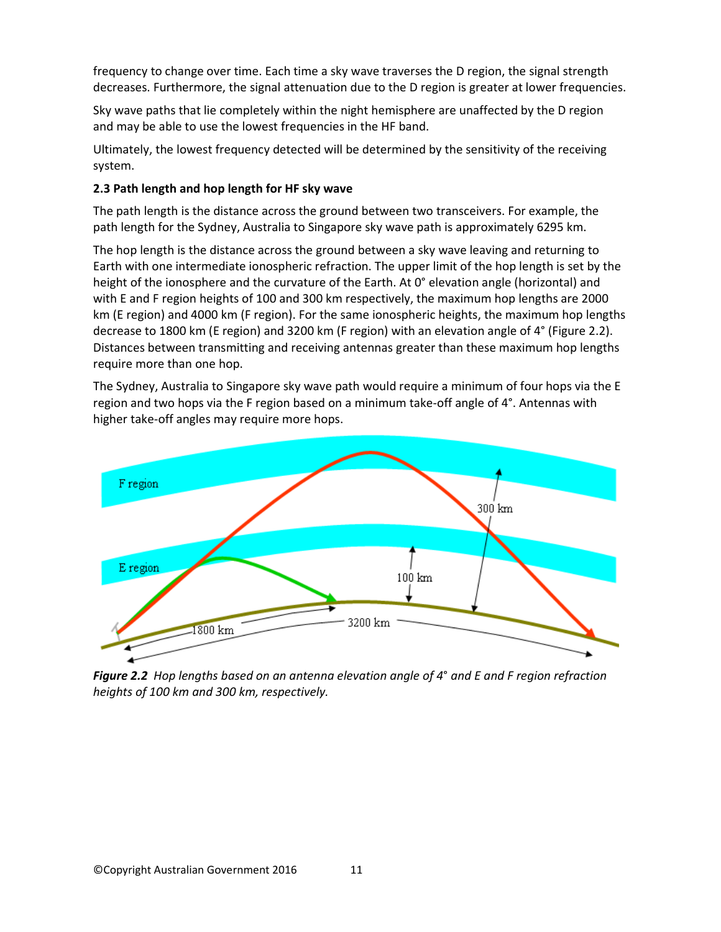frequency to change over time. Each time a sky wave traverses the D region, the signal strength decreases. Furthermore, the signal attenuation due to the D region is greater at lower frequencies.

Sky wave paths that lie completely within the night hemisphere are unaffected by the D region and may be able to use the lowest frequencies in the HF band.

Ultimately, the lowest frequency detected will be determined by the sensitivity of the receiving system.

# **2.3 Path length and hop length for HF sky wave**

The path length is the distance across the ground between two transceivers. For example, the path length for the Sydney, Australia to Singapore sky wave path is approximately 6295 km.

The hop length is the distance across the ground between a sky wave leaving and returning to Earth with one intermediate ionospheric refraction. The upper limit of the hop length is set by the height of the ionosphere and the curvature of the Earth. At 0° elevation angle (horizontal) and with E and F region heights of 100 and 300 km respectively, the maximum hop lengths are 2000 km (E region) and 4000 km (F region). For the same ionospheric heights, the maximum hop lengths decrease to 1800 km (E region) and 3200 km (F region) with an elevation angle of 4° (Figure 2.2). Distances between transmitting and receiving antennas greater than these maximum hop lengths require more than one hop.

The Sydney, Australia to Singapore sky wave path would require a minimum of four hops via the E region and two hops via the F region based on a minimum take-off angle of 4°. Antennas with higher take-off angles may require more hops.

![](_page_10_Figure_7.jpeg)

*Figure 2.2 Hop lengths based on an antenna elevation angle of 4*° *and E and F region refraction heights of 100 km and 300 km, respectively.*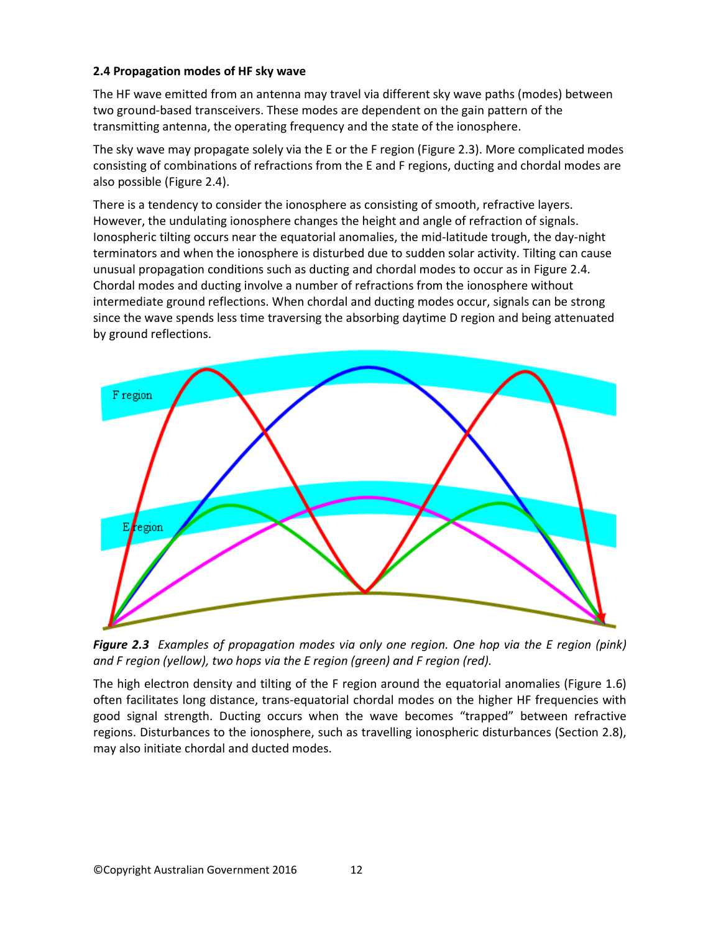# **2.4 Propagation modes of HF sky wave**

The HF wave emitted from an antenna may travel via different sky wave paths (modes) between two ground-based transceivers. These modes are dependent on the gain pattern of the transmitting antenna, the operating frequency and the state of the ionosphere.

The sky wave may propagate solely via the E or the F region (Figure 2.3). More complicated modes consisting of combinations of refractions from the E and F regions, ducting and chordal modes are also possible (Figure 2.4).

There is a tendency to consider the ionosphere as consisting of smooth, refractive layers. However, the undulating ionosphere changes the height and angle of refraction of signals. Ionospheric tilting occurs near the equatorial anomalies, the mid-latitude trough, the day-night terminators and when the ionosphere is disturbed due to sudden solar activity. Tilting can cause unusual propagation conditions such as ducting and chordal modes to occur as in Figure 2.4. Chordal modes and ducting involve a number of refractions from the ionosphere without intermediate ground reflections. When chordal and ducting modes occur, signals can be strong since the wave spends less time traversing the absorbing daytime D region and being attenuated by ground reflections.

![](_page_11_Figure_4.jpeg)

*Figure 2.3 Examples of propagation modes via only one region. One hop via the E region (pink) and F region (yellow), two hops via the E region (green) and F region (red).* 

The high electron density and tilting of the F region around the equatorial anomalies (Figure 1.6) often facilitates long distance, trans-equatorial chordal modes on the higher HF frequencies with good signal strength. Ducting occurs when the wave becomes "trapped" between refractive regions. Disturbances to the ionosphere, such as travelling ionospheric disturbances (Section 2.8), may also initiate chordal and ducted modes.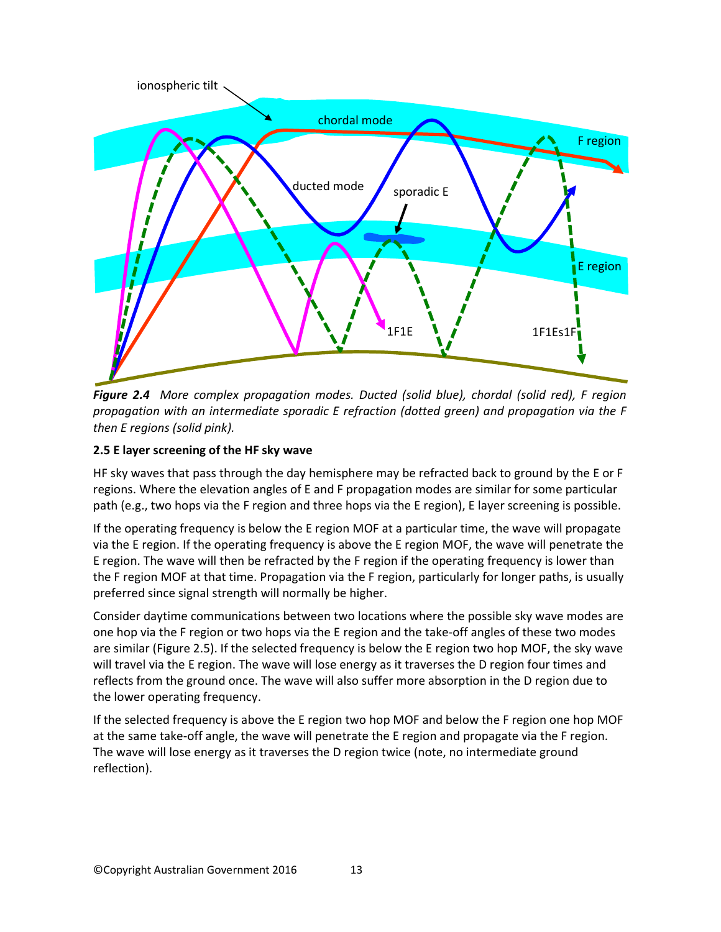![](_page_12_Figure_0.jpeg)

*Figure 2.4 More complex propagation modes. Ducted (solid blue), chordal (solid red), F region propagation with an intermediate sporadic E refraction (dotted green) and propagation via the F then E regions (solid pink).*

#### **2.5 E layer screening of the HF sky wave**

HF sky waves that pass through the day hemisphere may be refracted back to ground by the E or F regions. Where the elevation angles of E and F propagation modes are similar for some particular path (e.g., two hops via the F region and three hops via the E region), E layer screening is possible.

If the operating frequency is below the E region MOF at a particular time, the wave will propagate via the E region. If the operating frequency is above the E region MOF, the wave will penetrate the E region. The wave will then be refracted by the F region if the operating frequency is lower than the F region MOF at that time. Propagation via the F region, particularly for longer paths, is usually preferred since signal strength will normally be higher.

Consider daytime communications between two locations where the possible sky wave modes are one hop via the F region or two hops via the E region and the take-off angles of these two modes are similar (Figure 2.5). If the selected frequency is below the E region two hop MOF, the sky wave will travel via the E region. The wave will lose energy as it traverses the D region four times and reflects from the ground once. The wave will also suffer more absorption in the D region due to the lower operating frequency.

If the selected frequency is above the E region two hop MOF and below the F region one hop MOF at the same take-off angle, the wave will penetrate the E region and propagate via the F region. The wave will lose energy as it traverses the D region twice (note, no intermediate ground reflection).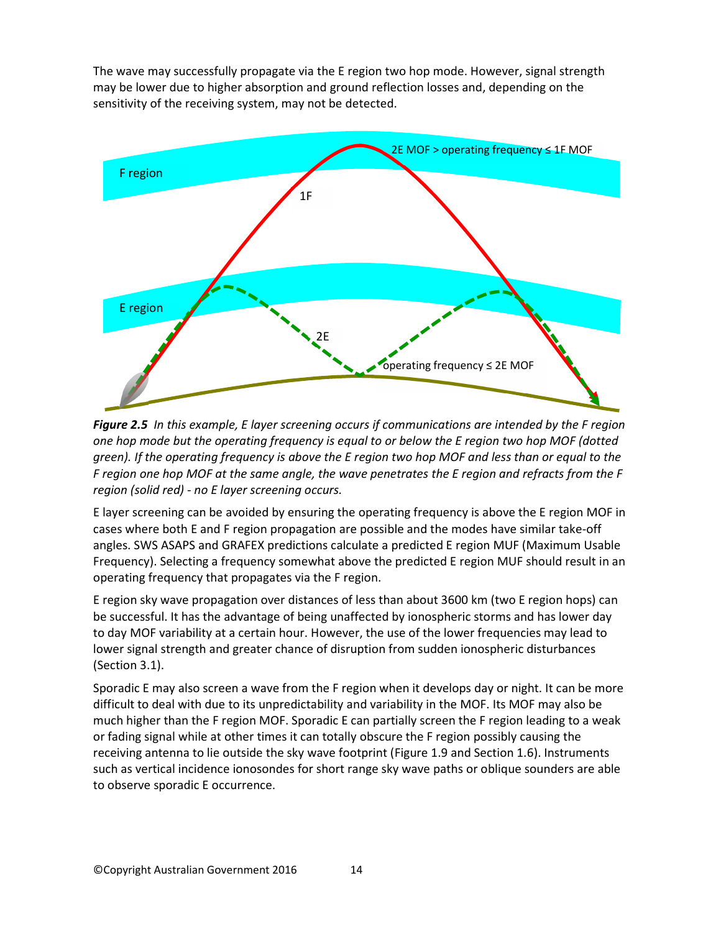The wave may successfully propagate via the E region two hop mode. However, signal strength may be lower due to higher absorption and ground reflection losses and, depending on the sensitivity of the receiving system, may not be detected.

![](_page_13_Figure_1.jpeg)

*Figure 2.5 In this example, E layer screening occurs if communications are intended by the F region one hop mode but the operating frequency is equal to or below the E region two hop MOF (dotted green). If the operating frequency is above the E region two hop MOF and less than or equal to the F region one hop MOF at the same angle, the wave penetrates the E region and refracts from the F region (solid red) - no E layer screening occurs.*

E layer screening can be avoided by ensuring the operating frequency is above the E region MOF in cases where both E and F region propagation are possible and the modes have similar take-off angles. SWS ASAPS and GRAFEX predictions calculate a predicted E region MUF (Maximum Usable Frequency). Selecting a frequency somewhat above the predicted E region MUF should result in an operating frequency that propagates via the F region.

E region sky wave propagation over distances of less than about 3600 km (two E region hops) can be successful. It has the advantage of being unaffected by ionospheric storms and has lower day to day MOF variability at a certain hour. However, the use of the lower frequencies may lead to lower signal strength and greater chance of disruption from sudden ionospheric disturbances (Section 3.1).

Sporadic E may also screen a wave from the F region when it develops day or night. It can be more difficult to deal with due to its unpredictability and variability in the MOF. Its MOF may also be much higher than the F region MOF. Sporadic E can partially screen the F region leading to a weak or fading signal while at other times it can totally obscure the F region possibly causing the receiving antenna to lie outside the sky wave footprint (Figure 1.9 and Section 1.6). Instruments such as vertical incidence ionosondes for short range sky wave paths or oblique sounders are able to observe sporadic E occurrence.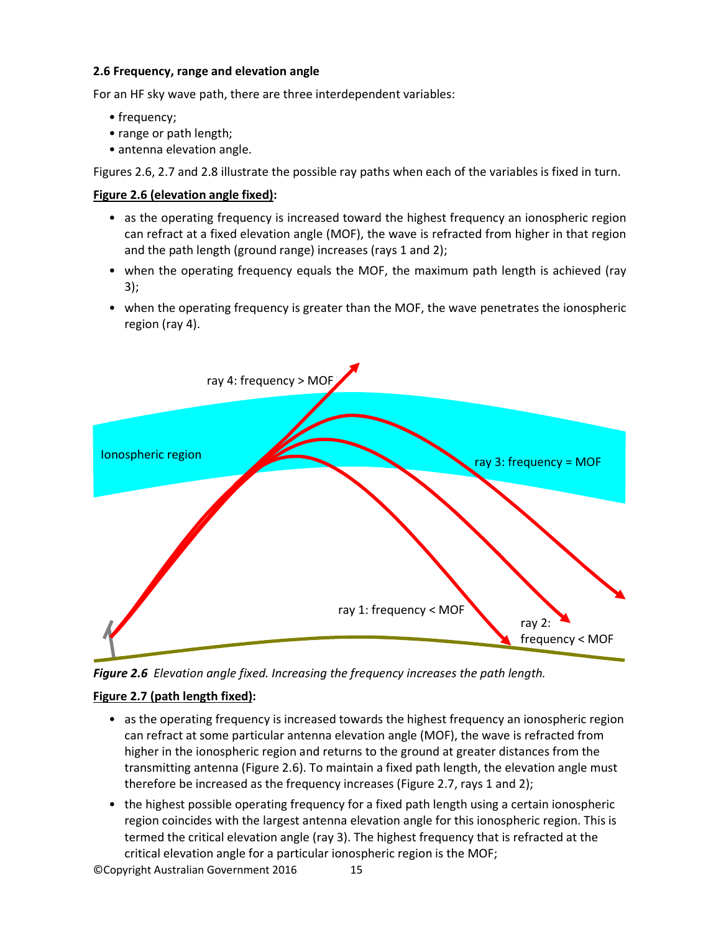#### **2.6 Frequency, range and elevation angle**

For an HF sky wave path, there are three interdependent variables:

- frequency;
- range or path length;
- antenna elevation angle.

Figures 2.6, 2.7 and 2.8 illustrate the possible ray paths when each of the variables is fixed in turn.

#### **Figure 2.6 (elevation angle fixed):**

- as the operating frequency is increased toward the highest frequency an ionospheric region can refract at a fixed elevation angle (MOF), the wave is refracted from higher in that region and the path length (ground range) increases (rays 1 and 2);
- when the operating frequency equals the MOF, the maximum path length is achieved (ray 3);
- when the operating frequency is greater than the MOF, the wave penetrates the ionospheric region (ray 4).

![](_page_14_Figure_10.jpeg)

*Figure 2.6 Elevation angle fixed. Increasing the frequency increases the path length.*

# **Figure 2.7 (path length fixed):**

- as the operating frequency is increased towards the highest frequency an ionospheric region can refract at some particular antenna elevation angle (MOF), the wave is refracted from higher in the ionospheric region and returns to the ground at greater distances from the transmitting antenna (Figure 2.6). To maintain a fixed path length, the elevation angle must therefore be increased as the frequency increases (Figure 2.7, rays 1 and 2);
- the highest possible operating frequency for a fixed path length using a certain ionospheric region coincides with the largest antenna elevation angle for this ionospheric region. This is termed the critical elevation angle (ray 3). The highest frequency that is refracted at the critical elevation angle for a particular ionospheric region is the MOF;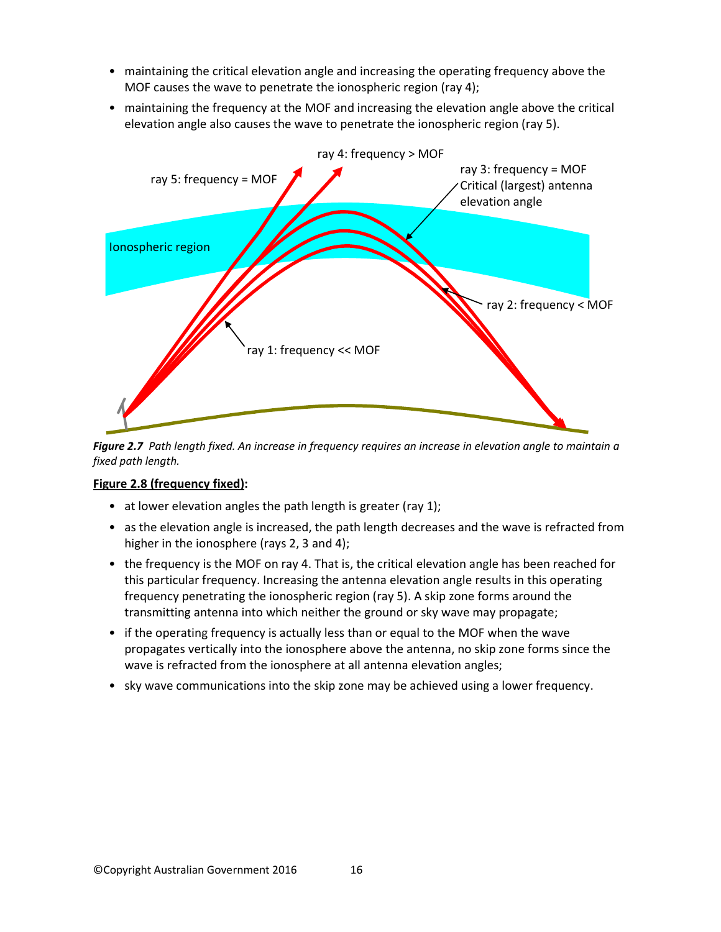- maintaining the critical elevation angle and increasing the operating frequency above the MOF causes the wave to penetrate the ionospheric region (ray 4);
- maintaining the frequency at the MOF and increasing the elevation angle above the critical elevation angle also causes the wave to penetrate the ionospheric region (ray 5).

![](_page_15_Figure_2.jpeg)

*Figure 2.7 Path length fixed. An increase in frequency requires an increase in elevation angle to maintain a fixed path length.*

# **Figure 2.8 (frequency fixed):**

- at lower elevation angles the path length is greater (ray 1);
- as the elevation angle is increased, the path length decreases and the wave is refracted from higher in the ionosphere (rays 2, 3 and 4);
- the frequency is the MOF on ray 4. That is, the critical elevation angle has been reached for this particular frequency. Increasing the antenna elevation angle results in this operating frequency penetrating the ionospheric region (ray 5). A skip zone forms around the transmitting antenna into which neither the ground or sky wave may propagate;
- if the operating frequency is actually less than or equal to the MOF when the wave propagates vertically into the ionosphere above the antenna, no skip zone forms since the wave is refracted from the ionosphere at all antenna elevation angles;
- sky wave communications into the skip zone may be achieved using a lower frequency.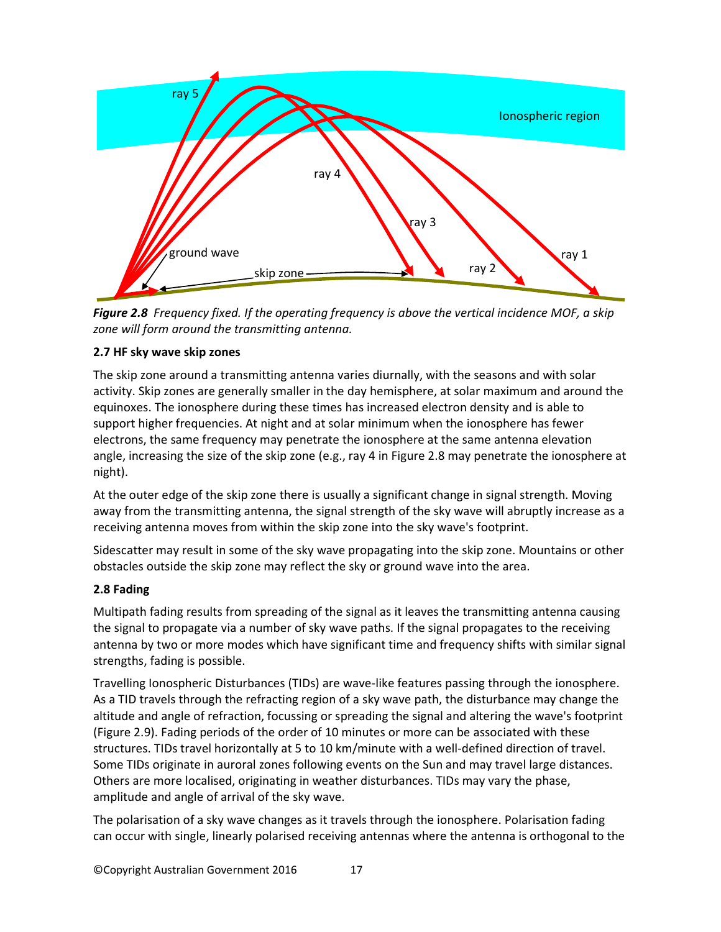![](_page_16_Figure_0.jpeg)

*Figure 2.8 Frequency fixed. If the operating frequency is above the vertical incidence MOF, a skip zone will form around the transmitting antenna.*

#### **2.7 HF sky wave skip zones**

The skip zone around a transmitting antenna varies diurnally, with the seasons and with solar activity. Skip zones are generally smaller in the day hemisphere, at solar maximum and around the equinoxes. The ionosphere during these times has increased electron density and is able to support higher frequencies. At night and at solar minimum when the ionosphere has fewer electrons, the same frequency may penetrate the ionosphere at the same antenna elevation angle, increasing the size of the skip zone (e.g., ray 4 in Figure 2.8 may penetrate the ionosphere at night).

At the outer edge of the skip zone there is usually a significant change in signal strength. Moving away from the transmitting antenna, the signal strength of the sky wave will abruptly increase as a receiving antenna moves from within the skip zone into the sky wave's footprint.

Sidescatter may result in some of the sky wave propagating into the skip zone. Mountains or other obstacles outside the skip zone may reflect the sky or ground wave into the area.

# **2.8 Fading**

Multipath fading results from spreading of the signal as it leaves the transmitting antenna causing the signal to propagate via a number of sky wave paths. If the signal propagates to the receiving antenna by two or more modes which have significant time and frequency shifts with similar signal strengths, fading is possible.

Travelling Ionospheric Disturbances (TIDs) are wave-like features passing through the ionosphere. As a TID travels through the refracting region of a sky wave path, the disturbance may change the altitude and angle of refraction, focussing or spreading the signal and altering the wave's footprint (Figure 2.9). Fading periods of the order of 10 minutes or more can be associated with these structures. TIDs travel horizontally at 5 to 10 km/minute with a well-defined direction of travel. Some TIDs originate in auroral zones following events on the Sun and may travel large distances. Others are more localised, originating in weather disturbances. TIDs may vary the phase, amplitude and angle of arrival of the sky wave.

The polarisation of a sky wave changes as it travels through the ionosphere. Polarisation fading can occur with single, linearly polarised receiving antennas where the antenna is orthogonal to the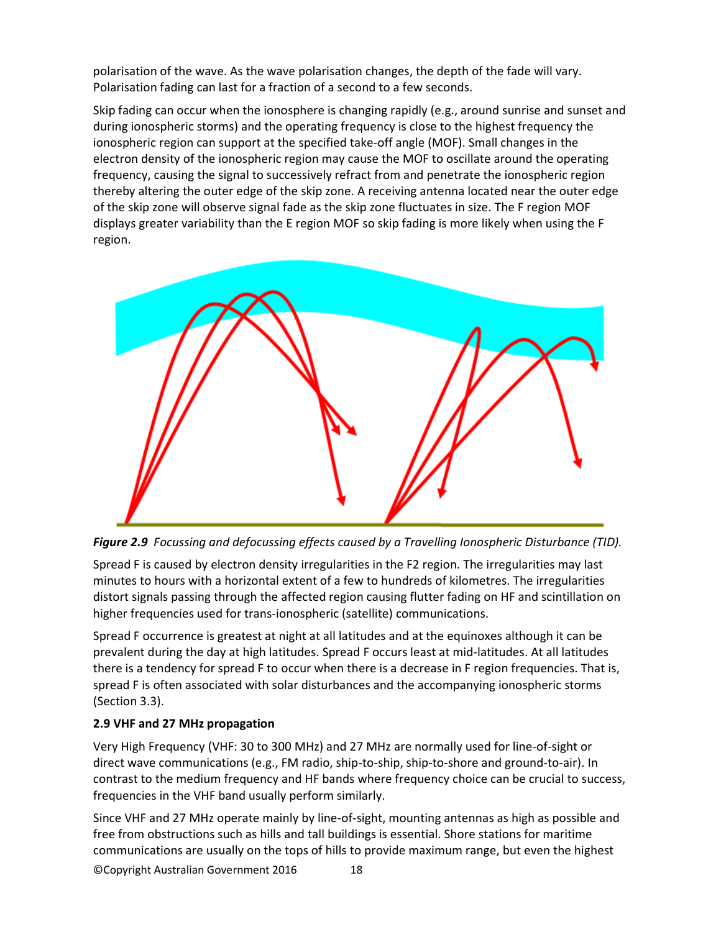polarisation of the wave. As the wave polarisation changes, the depth of the fade will vary. Polarisation fading can last for a fraction of a second to a few seconds.

Skip fading can occur when the ionosphere is changing rapidly (e.g., around sunrise and sunset and during ionospheric storms) and the operating frequency is close to the highest frequency the ionospheric region can support at the specified take-off angle (MOF). Small changes in the electron density of the ionospheric region may cause the MOF to oscillate around the operating frequency, causing the signal to successively refract from and penetrate the ionospheric region thereby altering the outer edge of the skip zone. A receiving antenna located near the outer edge of the skip zone will observe signal fade as the skip zone fluctuates in size. The F region MOF displays greater variability than the E region MOF so skip fading is more likely when using the F region.

![](_page_17_Picture_2.jpeg)

*Figure 2.9 Focussing and defocussing effects caused by a Travelling Ionospheric Disturbance (TID).* 

Spread F is caused by electron density irregularities in the F2 region. The irregularities may last minutes to hours with a horizontal extent of a few to hundreds of kilometres. The irregularities distort signals passing through the affected region causing flutter fading on HF and scintillation on higher frequencies used for trans-ionospheric (satellite) communications.

Spread F occurrence is greatest at night at all latitudes and at the equinoxes although it can be prevalent during the day at high latitudes. Spread F occurs least at mid-latitudes. At all latitudes there is a tendency for spread F to occur when there is a decrease in F region frequencies. That is, spread F is often associated with solar disturbances and the accompanying ionospheric storms (Section 3.3).

# **2.9 VHF and 27 MHz propagation**

Very High Frequency (VHF: 30 to 300 MHz) and 27 MHz are normally used for line-of-sight or direct wave communications (e.g., FM radio, ship-to-ship, ship-to-shore and ground-to-air). In contrast to the medium frequency and HF bands where frequency choice can be crucial to success, frequencies in the VHF band usually perform similarly.

©Copyright Australian Government 2016 18 Since VHF and 27 MHz operate mainly by line-of-sight, mounting antennas as high as possible and free from obstructions such as hills and tall buildings is essential. Shore stations for maritime communications are usually on the tops of hills to provide maximum range, but even the highest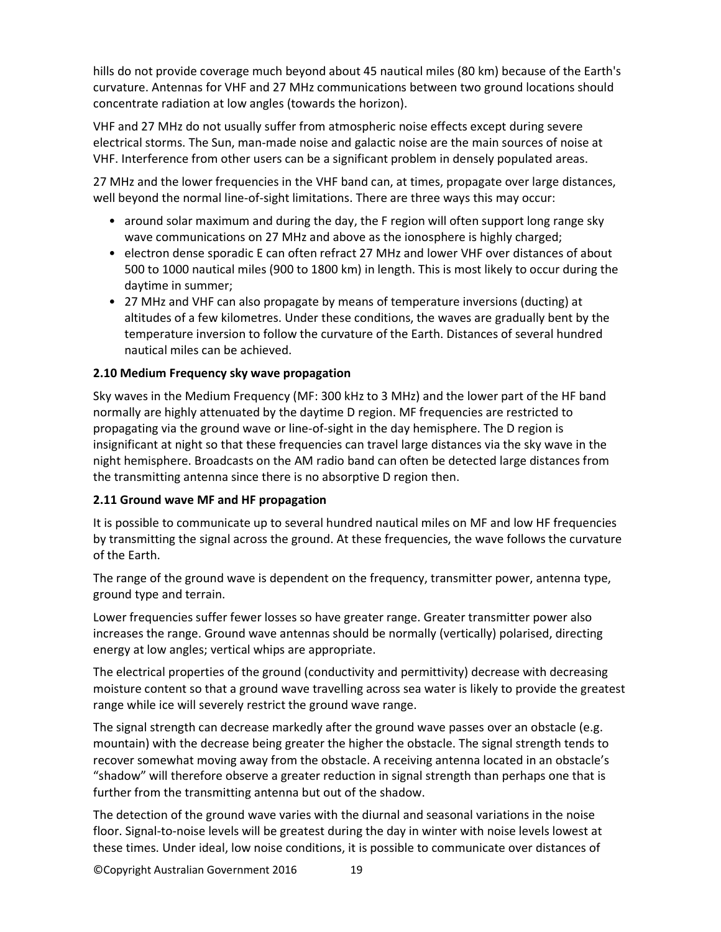hills do not provide coverage much beyond about 45 nautical miles (80 km) because of the Earth's curvature. Antennas for VHF and 27 MHz communications between two ground locations should concentrate radiation at low angles (towards the horizon).

VHF and 27 MHz do not usually suffer from atmospheric noise effects except during severe electrical storms. The Sun, man-made noise and galactic noise are the main sources of noise at VHF. Interference from other users can be a significant problem in densely populated areas.

27 MHz and the lower frequencies in the VHF band can, at times, propagate over large distances, well beyond the normal line-of-sight limitations. There are three ways this may occur:

- around solar maximum and during the day, the F region will often support long range sky wave communications on 27 MHz and above as the ionosphere is highly charged;
- electron dense sporadic E can often refract 27 MHz and lower VHF over distances of about 500 to 1000 nautical miles (900 to 1800 km) in length. This is most likely to occur during the daytime in summer;
- 27 MHz and VHF can also propagate by means of temperature inversions (ducting) at altitudes of a few kilometres. Under these conditions, the waves are gradually bent by the temperature inversion to follow the curvature of the Earth. Distances of several hundred nautical miles can be achieved.

# **2.10 Medium Frequency sky wave propagation**

Sky waves in the Medium Frequency (MF: 300 kHz to 3 MHz) and the lower part of the HF band normally are highly attenuated by the daytime D region. MF frequencies are restricted to propagating via the ground wave or line-of-sight in the day hemisphere. The D region is insignificant at night so that these frequencies can travel large distances via the sky wave in the night hemisphere. Broadcasts on the AM radio band can often be detected large distances from the transmitting antenna since there is no absorptive D region then.

#### **2.11 Ground wave MF and HF propagation**

It is possible to communicate up to several hundred nautical miles on MF and low HF frequencies by transmitting the signal across the ground. At these frequencies, the wave follows the curvature of the Earth.

The range of the ground wave is dependent on the frequency, transmitter power, antenna type, ground type and terrain.

Lower frequencies suffer fewer losses so have greater range. Greater transmitter power also increases the range. Ground wave antennas should be normally (vertically) polarised, directing energy at low angles; vertical whips are appropriate.

The electrical properties of the ground (conductivity and permittivity) decrease with decreasing moisture content so that a ground wave travelling across sea water is likely to provide the greatest range while ice will severely restrict the ground wave range.

The signal strength can decrease markedly after the ground wave passes over an obstacle (e.g. mountain) with the decrease being greater the higher the obstacle. The signal strength tends to recover somewhat moving away from the obstacle. A receiving antenna located in an obstacle's "shadow" will therefore observe a greater reduction in signal strength than perhaps one that is further from the transmitting antenna but out of the shadow.

The detection of the ground wave varies with the diurnal and seasonal variations in the noise floor. Signal-to-noise levels will be greatest during the day in winter with noise levels lowest at these times. Under ideal, low noise conditions, it is possible to communicate over distances of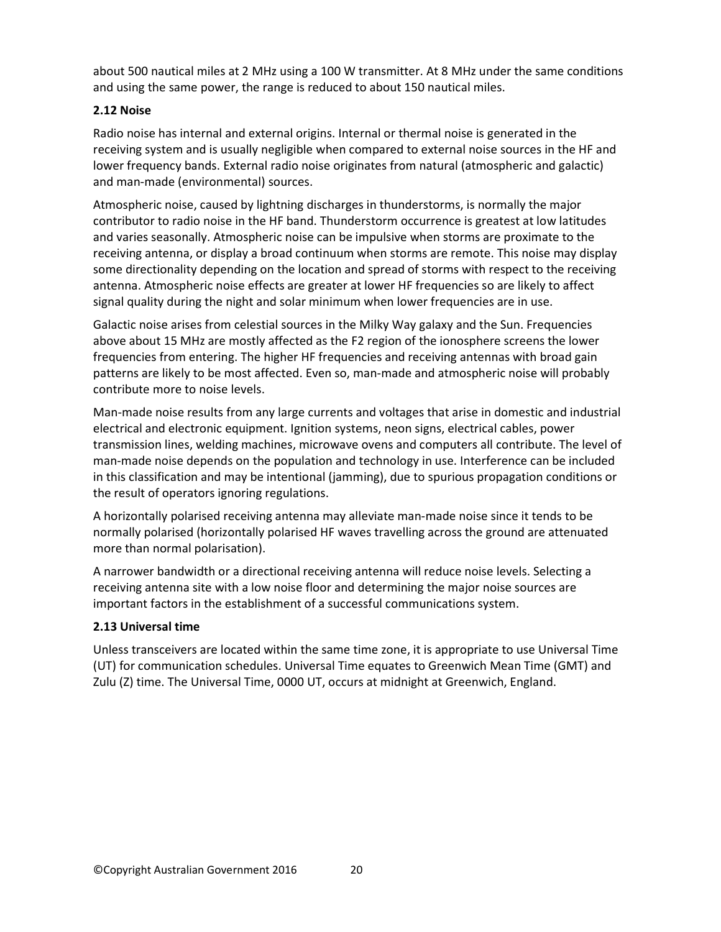about 500 nautical miles at 2 MHz using a 100 W transmitter. At 8 MHz under the same conditions and using the same power, the range is reduced to about 150 nautical miles.

# **2.12 Noise**

Radio noise has internal and external origins. Internal or thermal noise is generated in the receiving system and is usually negligible when compared to external noise sources in the HF and lower frequency bands. External radio noise originates from natural (atmospheric and galactic) and man-made (environmental) sources.

Atmospheric noise, caused by lightning discharges in thunderstorms, is normally the major contributor to radio noise in the HF band. Thunderstorm occurrence is greatest at low latitudes and varies seasonally. Atmospheric noise can be impulsive when storms are proximate to the receiving antenna, or display a broad continuum when storms are remote. This noise may display some directionality depending on the location and spread of storms with respect to the receiving antenna. Atmospheric noise effects are greater at lower HF frequencies so are likely to affect signal quality during the night and solar minimum when lower frequencies are in use.

Galactic noise arises from celestial sources in the Milky Way galaxy and the Sun. Frequencies above about 15 MHz are mostly affected as the F2 region of the ionosphere screens the lower frequencies from entering. The higher HF frequencies and receiving antennas with broad gain patterns are likely to be most affected. Even so, man-made and atmospheric noise will probably contribute more to noise levels.

Man-made noise results from any large currents and voltages that arise in domestic and industrial electrical and electronic equipment. Ignition systems, neon signs, electrical cables, power transmission lines, welding machines, microwave ovens and computers all contribute. The level of man-made noise depends on the population and technology in use. Interference can be included in this classification and may be intentional (jamming), due to spurious propagation conditions or the result of operators ignoring regulations.

A horizontally polarised receiving antenna may alleviate man-made noise since it tends to be normally polarised (horizontally polarised HF waves travelling across the ground are attenuated more than normal polarisation).

A narrower bandwidth or a directional receiving antenna will reduce noise levels. Selecting a receiving antenna site with a low noise floor and determining the major noise sources are important factors in the establishment of a successful communications system.

# **2.13 Universal time**

Unless transceivers are located within the same time zone, it is appropriate to use Universal Time (UT) for communication schedules. Universal Time equates to Greenwich Mean Time (GMT) and Zulu (Z) time. The Universal Time, 0000 UT, occurs at midnight at Greenwich, England.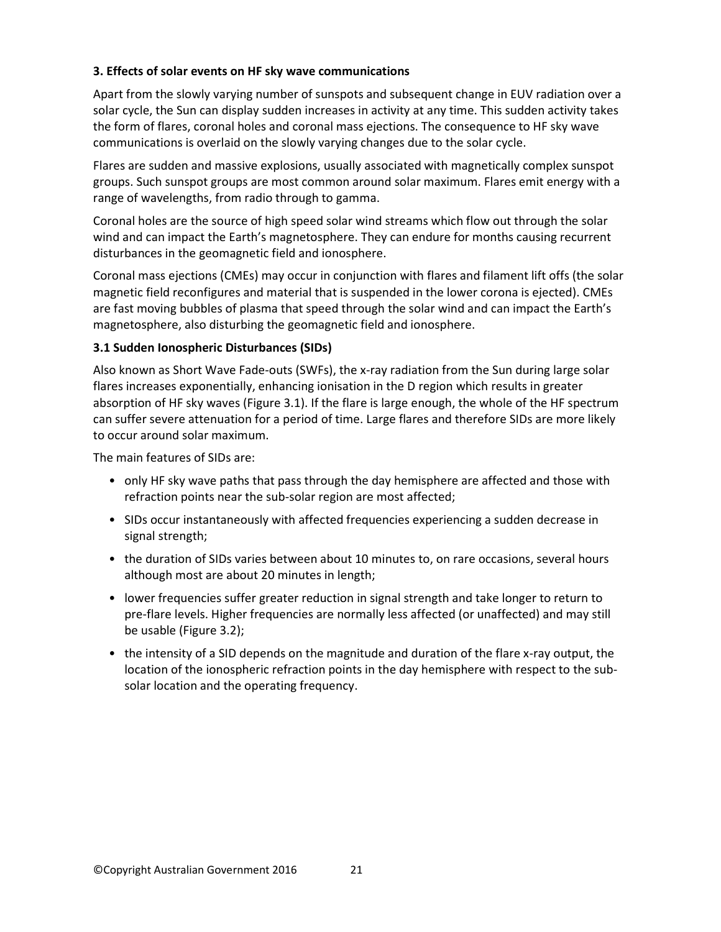# **3. Effects of solar events on HF sky wave communications**

Apart from the slowly varying number of sunspots and subsequent change in EUV radiation over a solar cycle, the Sun can display sudden increases in activity at any time. This sudden activity takes the form of flares, coronal holes and coronal mass ejections. The consequence to HF sky wave communications is overlaid on the slowly varying changes due to the solar cycle.

Flares are sudden and massive explosions, usually associated with magnetically complex sunspot groups. Such sunspot groups are most common around solar maximum. Flares emit energy with a range of wavelengths, from radio through to gamma.

Coronal holes are the source of high speed solar wind streams which flow out through the solar wind and can impact the Earth's magnetosphere. They can endure for months causing recurrent disturbances in the geomagnetic field and ionosphere.

Coronal mass ejections (CMEs) may occur in conjunction with flares and filament lift offs (the solar magnetic field reconfigures and material that is suspended in the lower corona is ejected). CMEs are fast moving bubbles of plasma that speed through the solar wind and can impact the Earth's magnetosphere, also disturbing the geomagnetic field and ionosphere.

# **3.1 Sudden Ionospheric Disturbances (SIDs)**

Also known as Short Wave Fade-outs (SWFs), the x-ray radiation from the Sun during large solar flares increases exponentially, enhancing ionisation in the D region which results in greater absorption of HF sky waves (Figure 3.1). If the flare is large enough, the whole of the HF spectrum can suffer severe attenuation for a period of time. Large flares and therefore SIDs are more likely to occur around solar maximum.

The main features of SIDs are:

- only HF sky wave paths that pass through the day hemisphere are affected and those with refraction points near the sub-solar region are most affected;
- SIDs occur instantaneously with affected frequencies experiencing a sudden decrease in signal strength;
- the duration of SIDs varies between about 10 minutes to, on rare occasions, several hours although most are about 20 minutes in length;
- lower frequencies suffer greater reduction in signal strength and take longer to return to pre-flare levels. Higher frequencies are normally less affected (or unaffected) and may still be usable (Figure 3.2);
- the intensity of a SID depends on the magnitude and duration of the flare x-ray output, the location of the ionospheric refraction points in the day hemisphere with respect to the subsolar location and the operating frequency.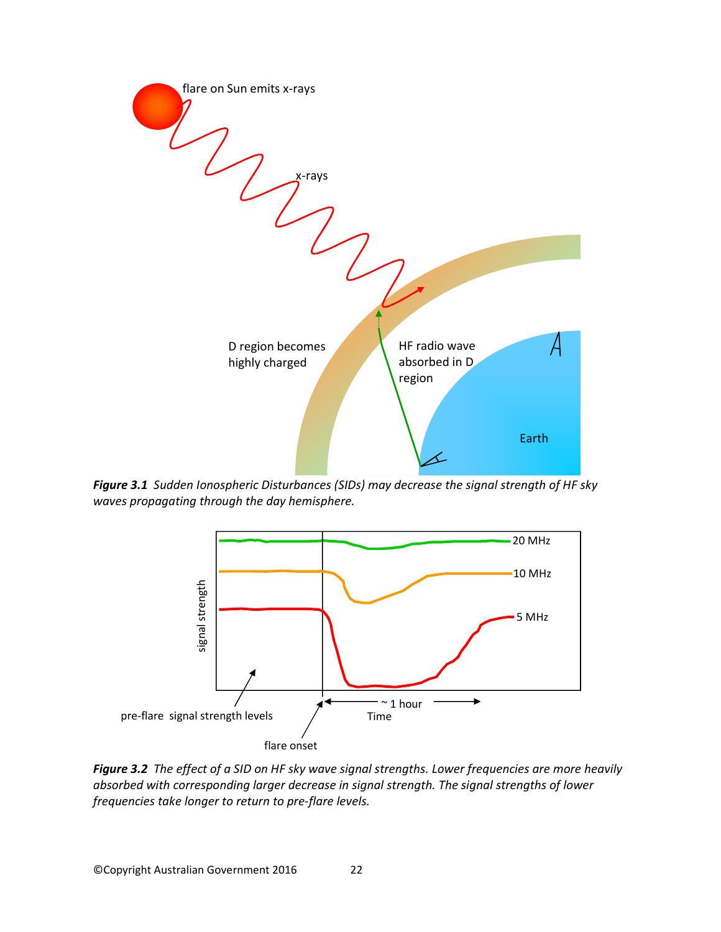![](_page_21_Figure_0.jpeg)

*Figure 3.1 Sudden Ionospheric Disturbances (SIDs) may decrease the signal strength of HF sky waves propagating through the day hemisphere.*

![](_page_21_Figure_2.jpeg)

*Figure 3.2 The effect of a SID on HF sky wave signal strengths. Lower frequencies are more heavily absorbed with corresponding larger decrease in signal strength. The signal strengths of lower frequencies take longer to return to pre-flare levels.*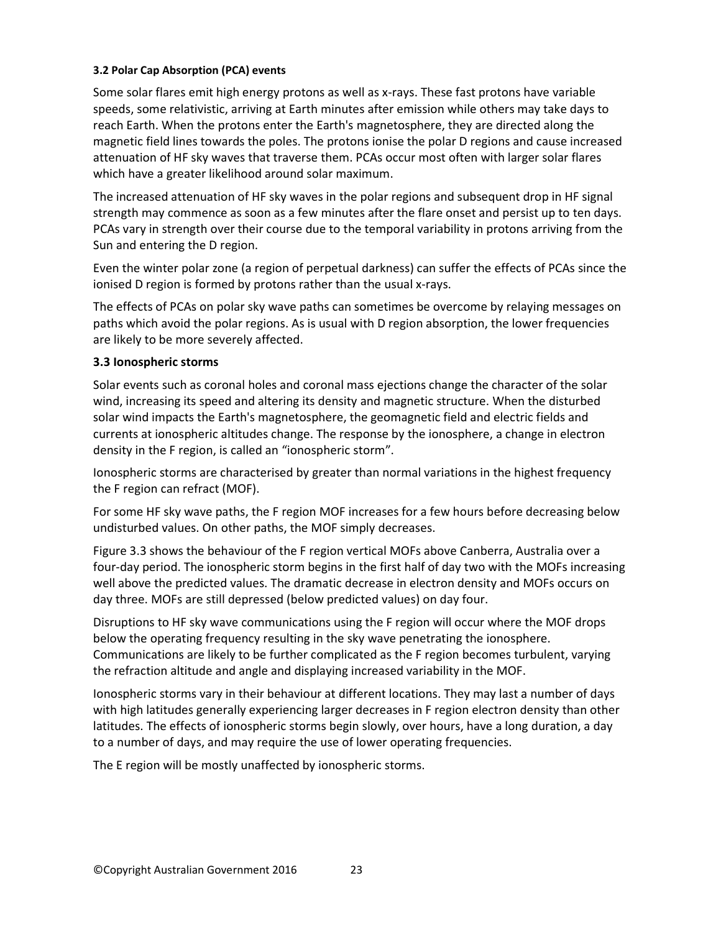#### **3.2 Polar Cap Absorption (PCA) events**

Some solar flares emit high energy protons as well as x-rays. These fast protons have variable speeds, some relativistic, arriving at Earth minutes after emission while others may take days to reach Earth. When the protons enter the Earth's magnetosphere, they are directed along the magnetic field lines towards the poles. The protons ionise the polar D regions and cause increased attenuation of HF sky waves that traverse them. PCAs occur most often with larger solar flares which have a greater likelihood around solar maximum.

The increased attenuation of HF sky waves in the polar regions and subsequent drop in HF signal strength may commence as soon as a few minutes after the flare onset and persist up to ten days. PCAs vary in strength over their course due to the temporal variability in protons arriving from the Sun and entering the D region.

Even the winter polar zone (a region of perpetual darkness) can suffer the effects of PCAs since the ionised D region is formed by protons rather than the usual x-rays.

The effects of PCAs on polar sky wave paths can sometimes be overcome by relaying messages on paths which avoid the polar regions. As is usual with D region absorption, the lower frequencies are likely to be more severely affected.

#### **3.3 Ionospheric storms**

Solar events such as coronal holes and coronal mass ejections change the character of the solar wind, increasing its speed and altering its density and magnetic structure. When the disturbed solar wind impacts the Earth's magnetosphere, the geomagnetic field and electric fields and currents at ionospheric altitudes change. The response by the ionosphere, a change in electron density in the F region, is called an "ionospheric storm".

Ionospheric storms are characterised by greater than normal variations in the highest frequency the F region can refract (MOF).

For some HF sky wave paths, the F region MOF increases for a few hours before decreasing below undisturbed values. On other paths, the MOF simply decreases.

Figure 3.3 shows the behaviour of the F region vertical MOFs above Canberra, Australia over a four-day period. The ionospheric storm begins in the first half of day two with the MOFs increasing well above the predicted values. The dramatic decrease in electron density and MOFs occurs on day three. MOFs are still depressed (below predicted values) on day four.

Disruptions to HF sky wave communications using the F region will occur where the MOF drops below the operating frequency resulting in the sky wave penetrating the ionosphere. Communications are likely to be further complicated as the F region becomes turbulent, varying the refraction altitude and angle and displaying increased variability in the MOF.

Ionospheric storms vary in their behaviour at different locations. They may last a number of days with high latitudes generally experiencing larger decreases in F region electron density than other latitudes. The effects of ionospheric storms begin slowly, over hours, have a long duration, a day to a number of days, and may require the use of lower operating frequencies.

The E region will be mostly unaffected by ionospheric storms.